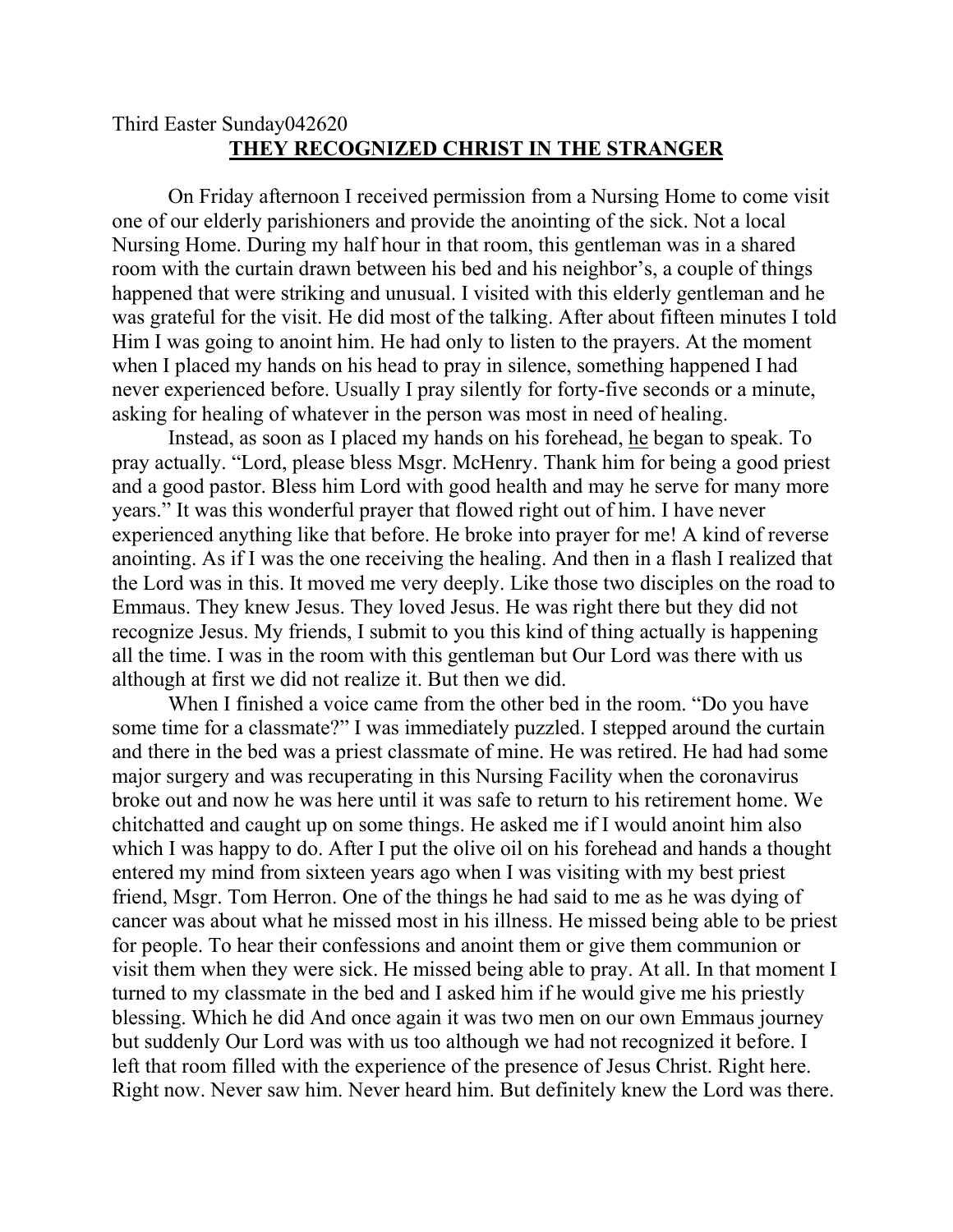## Third Easter Sunday042620 **THEY RECOGNIZED CHRIST IN THE STRANGER**

On Friday afternoon I received permission from a Nursing Home to come visit one of our elderly parishioners and provide the anointing of the sick. Not a local Nursing Home. During my half hour in that room, this gentleman was in a shared room with the curtain drawn between his bed and his neighbor's, a couple of things happened that were striking and unusual. I visited with this elderly gentleman and he was grateful for the visit. He did most of the talking. After about fifteen minutes I told Him I was going to anoint him. He had only to listen to the prayers. At the moment when I placed my hands on his head to pray in silence, something happened I had never experienced before. Usually I pray silently for forty-five seconds or a minute, asking for healing of whatever in the person was most in need of healing.

Instead, as soon as I placed my hands on his forehead, he began to speak. To pray actually. "Lord, please bless Msgr. McHenry. Thank him for being a good priest and a good pastor. Bless him Lord with good health and may he serve for many more years." It was this wonderful prayer that flowed right out of him. I have never experienced anything like that before. He broke into prayer for me! A kind of reverse anointing. As if I was the one receiving the healing. And then in a flash I realized that the Lord was in this. It moved me very deeply. Like those two disciples on the road to Emmaus. They knew Jesus. They loved Jesus. He was right there but they did not recognize Jesus. My friends, I submit to you this kind of thing actually is happening all the time. I was in the room with this gentleman but Our Lord was there with us although at first we did not realize it. But then we did.

When I finished a voice came from the other bed in the room. "Do you have some time for a classmate?" I was immediately puzzled. I stepped around the curtain and there in the bed was a priest classmate of mine. He was retired. He had had some major surgery and was recuperating in this Nursing Facility when the coronavirus broke out and now he was here until it was safe to return to his retirement home. We chitchatted and caught up on some things. He asked me if I would anoint him also which I was happy to do. After I put the olive oil on his forehead and hands a thought entered my mind from sixteen years ago when I was visiting with my best priest friend, Msgr. Tom Herron. One of the things he had said to me as he was dying of cancer was about what he missed most in his illness. He missed being able to be priest for people. To hear their confessions and anoint them or give them communion or visit them when they were sick. He missed being able to pray. At all. In that moment I turned to my classmate in the bed and I asked him if he would give me his priestly blessing. Which he did And once again it was two men on our own Emmaus journey but suddenly Our Lord was with us too although we had not recognized it before. I left that room filled with the experience of the presence of Jesus Christ. Right here. Right now. Never saw him. Never heard him. But definitely knew the Lord was there.